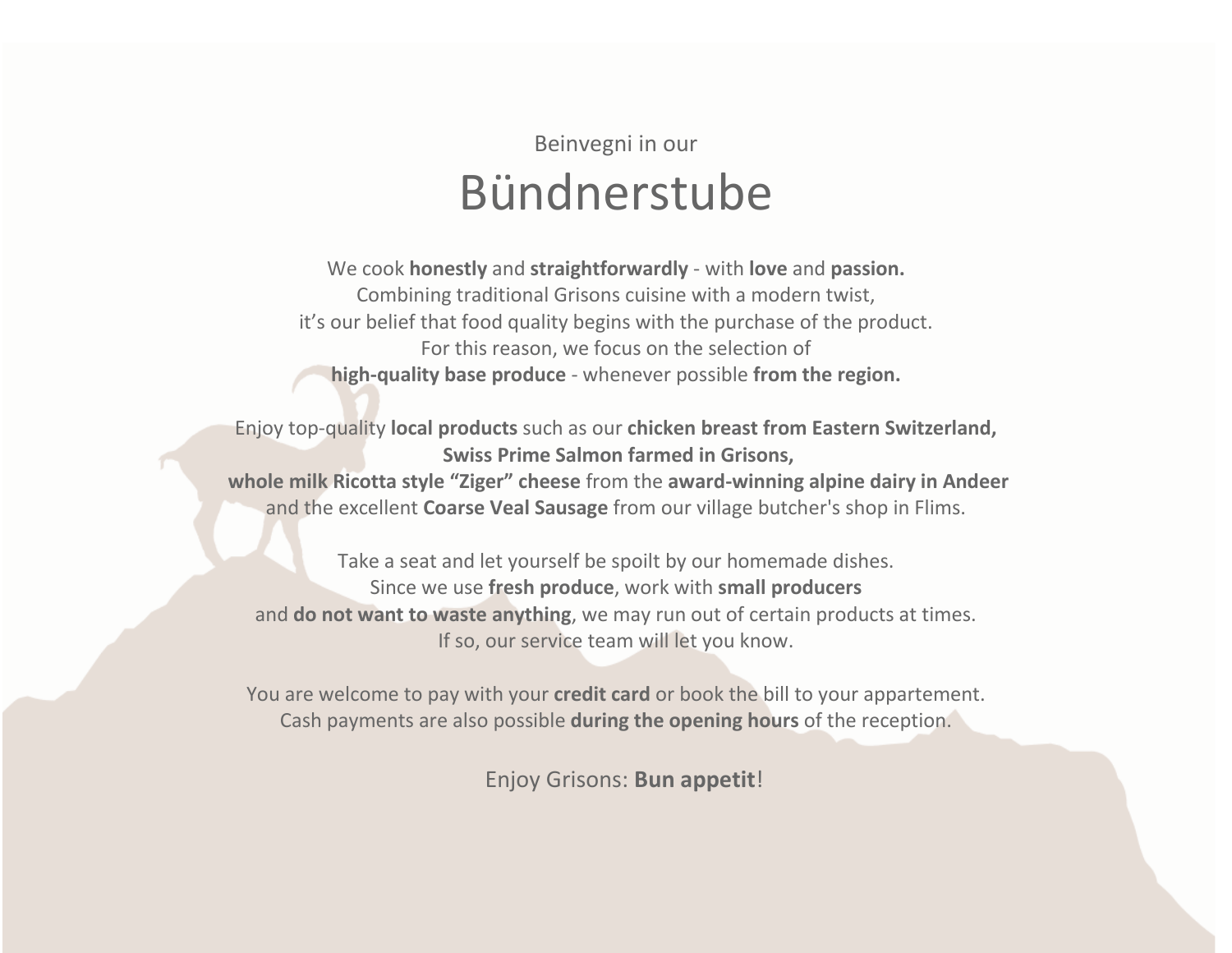# Beinvegni in our Bündnerstube

We cook **honestly** and **straightforwardly** - with **love** and **passion.**  Combining traditional Grisons cuisine with a modern twist, it's our belief that food quality begins with the purchase of the product. For this reason, we focus on the selection of **high-quality base produce** - whenever possible **from the region.**

Enjoy top-quality **local products** such as our **chicken breast from Eastern Switzerland, Swiss Prime Salmon farmed in Grisons, whole milk Ricotta style "Ziger" cheese** from the **award-winning alpine dairy in Andeer**  and the excellent **Coarse Veal Sausage** from our village butcher's shop in Flims.

Take a seat and let yourself be spoilt by our homemade dishes. Since we use **fresh produce**, work with **small producers** and **do not want to waste anything**, we may run out of certain products at times. If so, our service team will let you know.

You are welcome to pay with your **credit card** or book the bill to your appartement. Cash payments are also possible **during the opening hours** of the reception.

Enjoy Grisons: **Bun appetit**!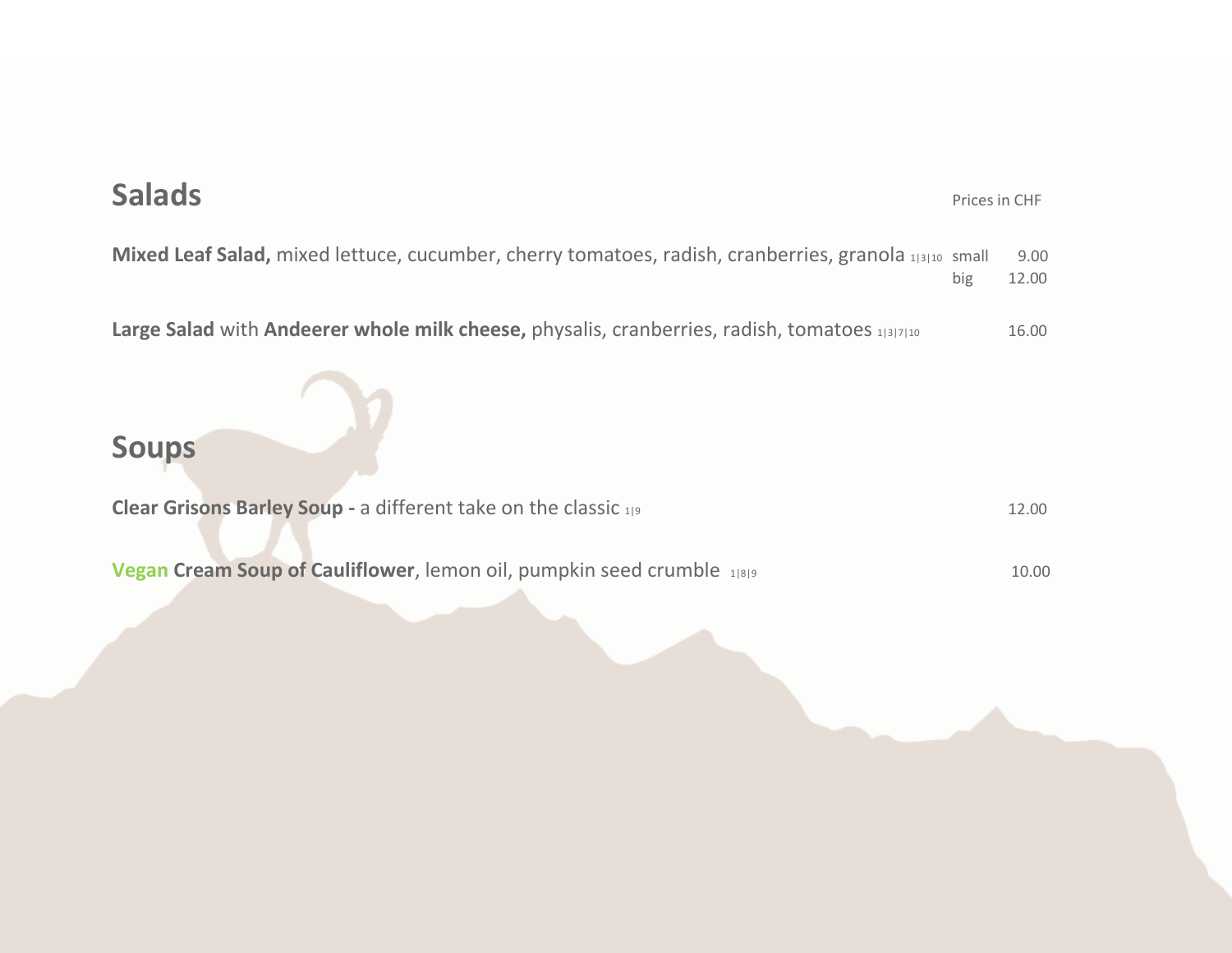# **Salads Mixed Leaf Salad,** mixed lettuce, cucumber, cherry tomatoes, radish, cranberries, granola 1|3|10 small 9.00 big 12.00 Large Salad with Andeerer whole milk cheese, physalis, cranberries, radish, tomatoes 11317110 16.00 **Soups Clear Grisons Barley Soup -** a different take on the classic 1|9 12.00 **Vegan Cream Soup of Cauliflower**, lemon oil, pumpkin seed crumble 1|8|9 **10.00** 10.00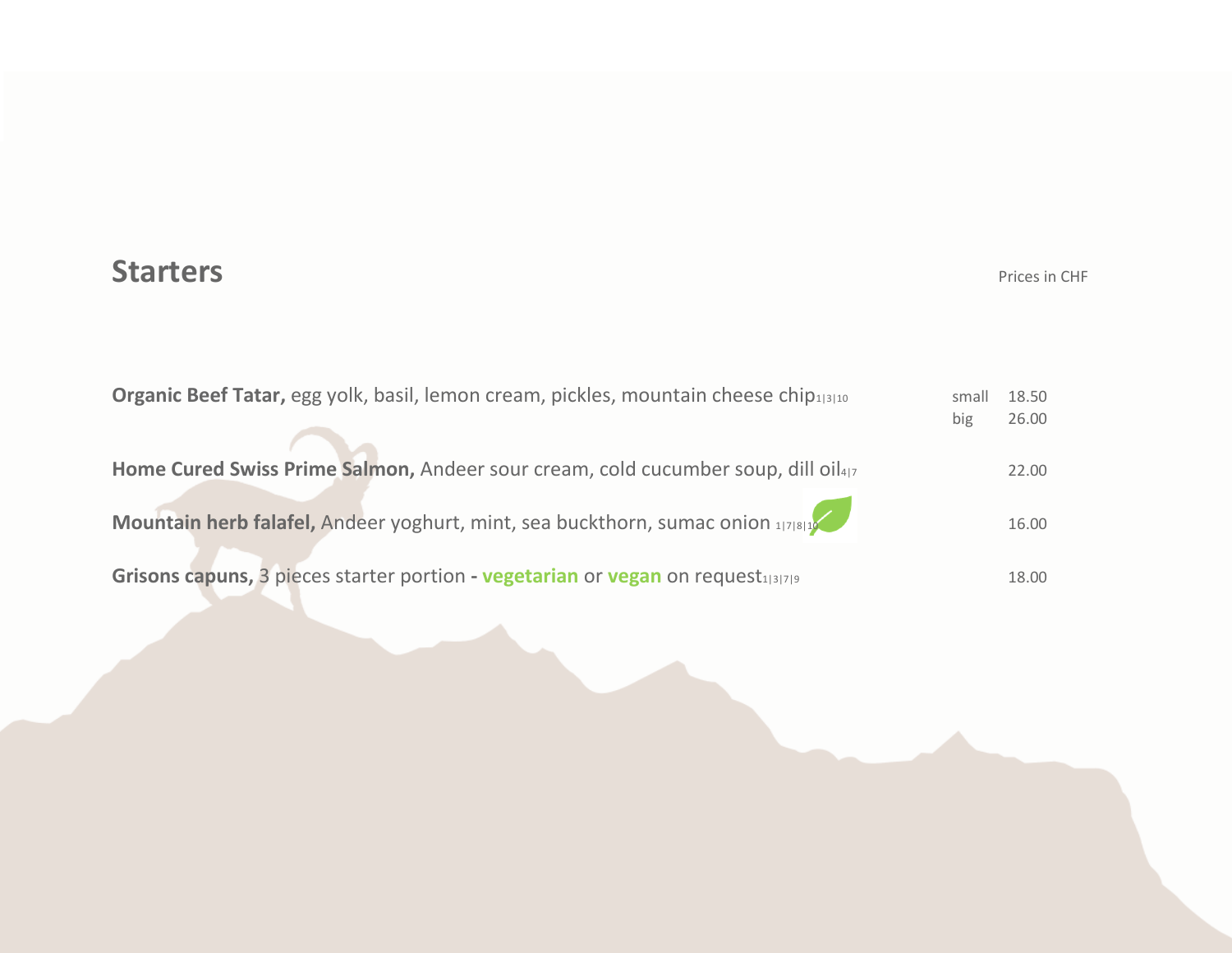#### **Starters** Prices in CHF

| Organic Beef Tatar, egg yolk, basil, lemon cream, pickles, mountain cheese chip <sub>1310</sub> | small | 18.50 |
|-------------------------------------------------------------------------------------------------|-------|-------|
| big                                                                                             |       | 26.00 |
|                                                                                                 |       |       |
| Home Cured Swiss Prime Salmon, Andeer sour cream, cold cucumber soup, dill oil <sub>417</sub>   |       | 22.00 |
|                                                                                                 |       |       |
| Mountain herb falafel, Andeer yoghurt, mint, sea buckthorn, sumac onion 1778119                 |       | 16.00 |
|                                                                                                 |       |       |
| Grisons capuns, 3 pieces starter portion - vegetarian or vegan on request <sub>131719</sub>     |       | 18.00 |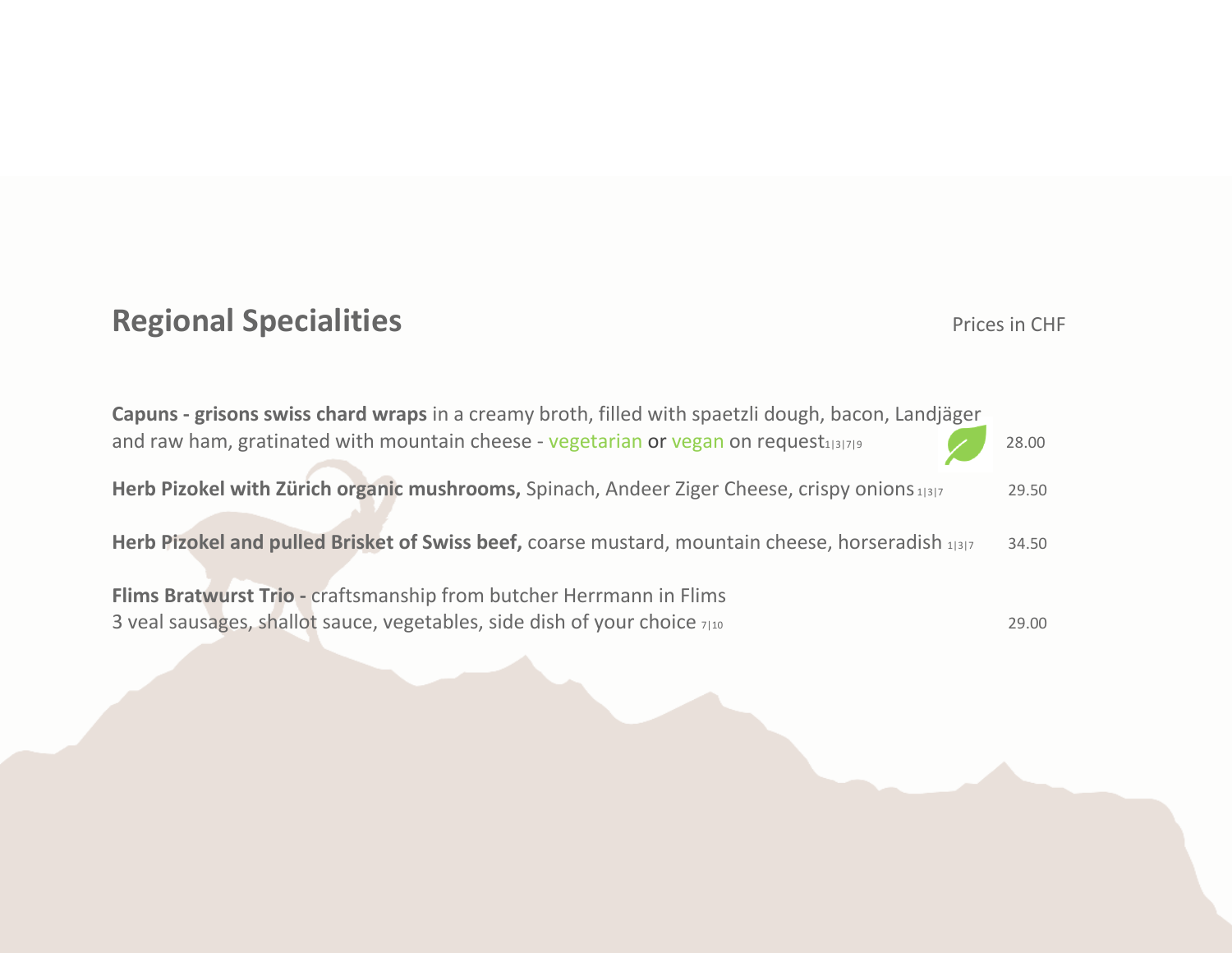# **Regional Specialities Prices in CHF**

| Capuns - grisons swiss chard wraps in a creamy broth, filled with spaetzli dough, bacon, Landjäger |       |
|----------------------------------------------------------------------------------------------------|-------|
| and raw ham, gratinated with mountain cheese - vegetarian or vegan on request $131719$             | 28.00 |
| Herb Pizokel with Zürich organic mushrooms, Spinach, Andeer Ziger Cheese, crispy onions 1317       | 29.50 |
| Herb Pizokel and pulled Brisket of Swiss beef, coarse mustard, mountain cheese, horseradish 1317   | 34.50 |
| Flims Bratwurst Trio - craftsmanship from butcher Herrmann in Flims                                |       |
| 3 veal sausages, shallot sauce, vegetables, side dish of your choice 7110                          | 29.00 |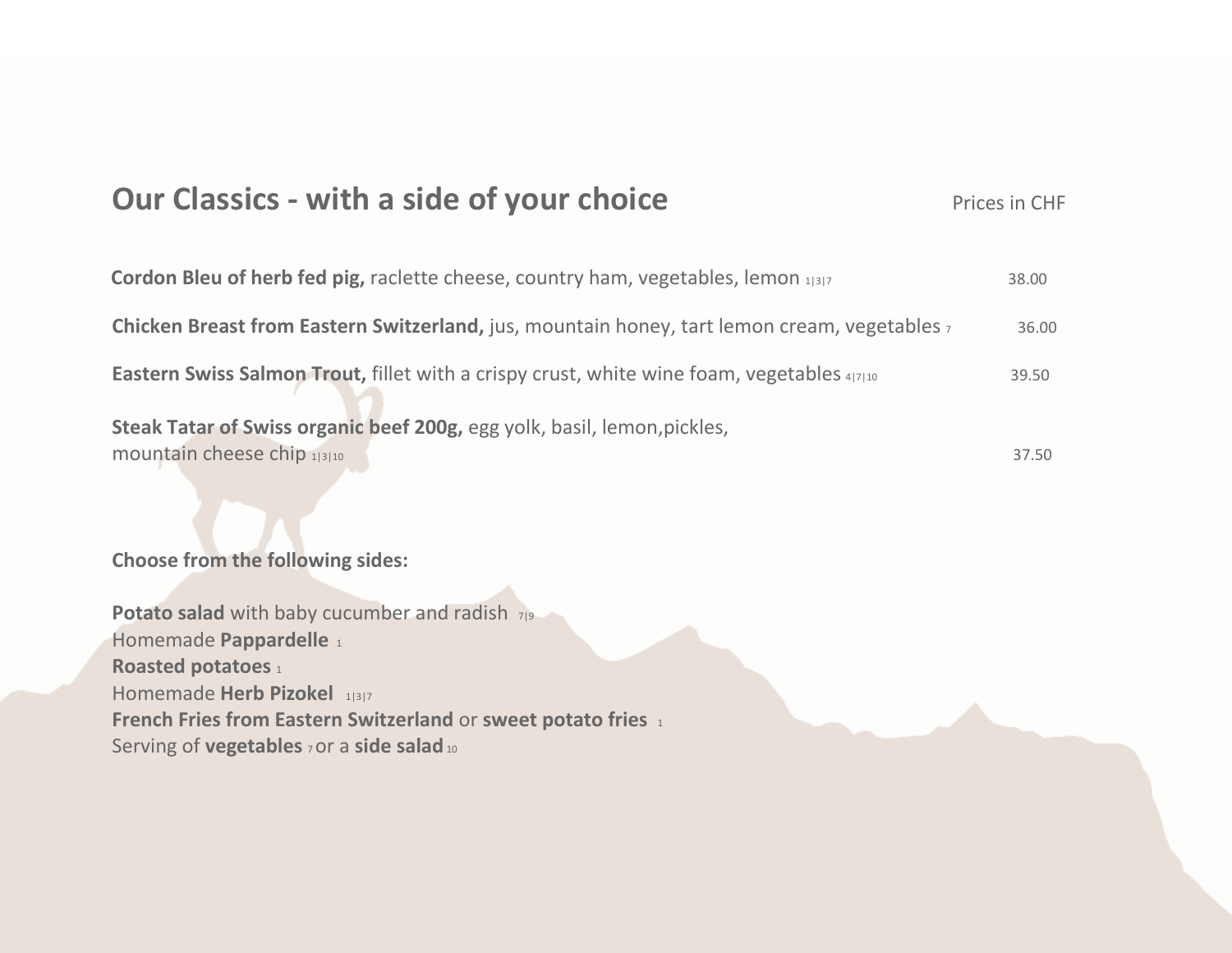### **Our Classics - with a side of your choice** Prices in CHF

| Cordon Bleu of herb fed pig, raclette cheese, country ham, vegetables, lemon 1 3 7                      | 38.00 |
|---------------------------------------------------------------------------------------------------------|-------|
| <b>Chicken Breast from Eastern Switzerland, jus, mountain honey, tart lemon cream, vegetables</b> z     | 36.00 |
| <b>Eastern Swiss Salmon Trout, fillet with a crispy crust, white wine foam, vegetables 4/7/10</b>       | 39.50 |
| Steak Tatar of Swiss organic beef 200g, egg yolk, basil, lemon, pickles,<br>mountain cheese chip 1 3 10 | 37.50 |

**Choose from the following sides:**

**Potato salad** with baby cucumber and radish  $7|9$ Homemade Pappardelle 1 **Roasted potatoes** 1 Homemade **Herb Pizokel** 1|3|7 **French Fries from Eastern Switzerland** or **sweet potato fries** <sup>1</sup> Serving of **vegetables** 7 or a side salad 10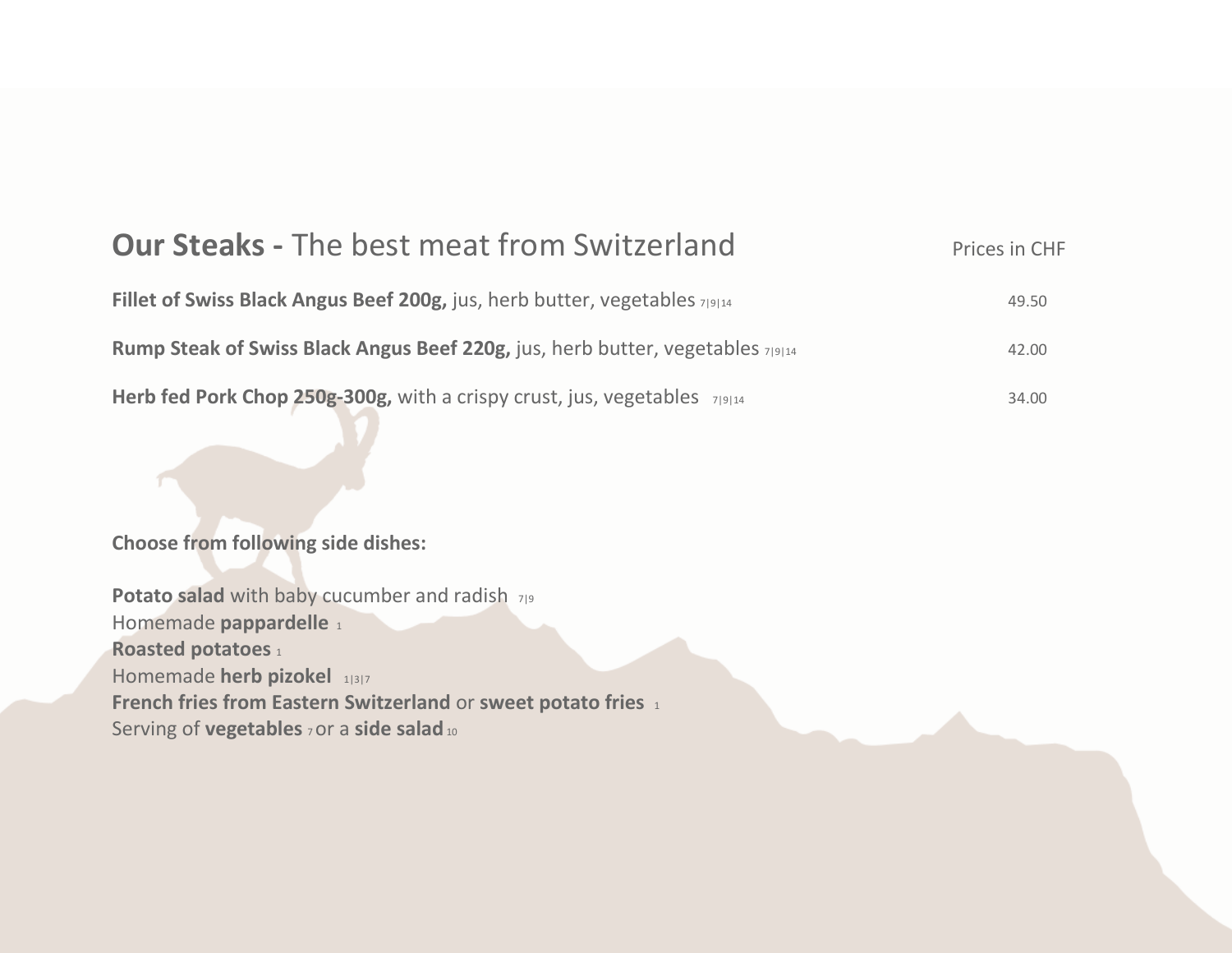| <b>Our Steaks - The best meat from Switzerland</b>                             | Prices in CHF |
|--------------------------------------------------------------------------------|---------------|
| Fillet of Swiss Black Angus Beef 200g, jus, herb butter, vegetables 719114     | 49.50         |
| Rump Steak of Swiss Black Angus Beef 220g, jus, herb butter, vegetables 719144 | 42.00         |
| Herb fed Pork Chop 250g-300g, with a crispy crust, jus, vegetables 7 9 14      | 34.00         |

**Choose from following side dishes:**

Potato salad with baby cucumber and radish 7|9 Homemade **pappardelle**<sup>1</sup> **Roasted potatoes** 1 Homemade **herb pizokel** 1|3|7 **French fries from Eastern Switzerland** or **sweet potato fries** <sup>1</sup> Serving of **vegetables 7 OY a side salad** 10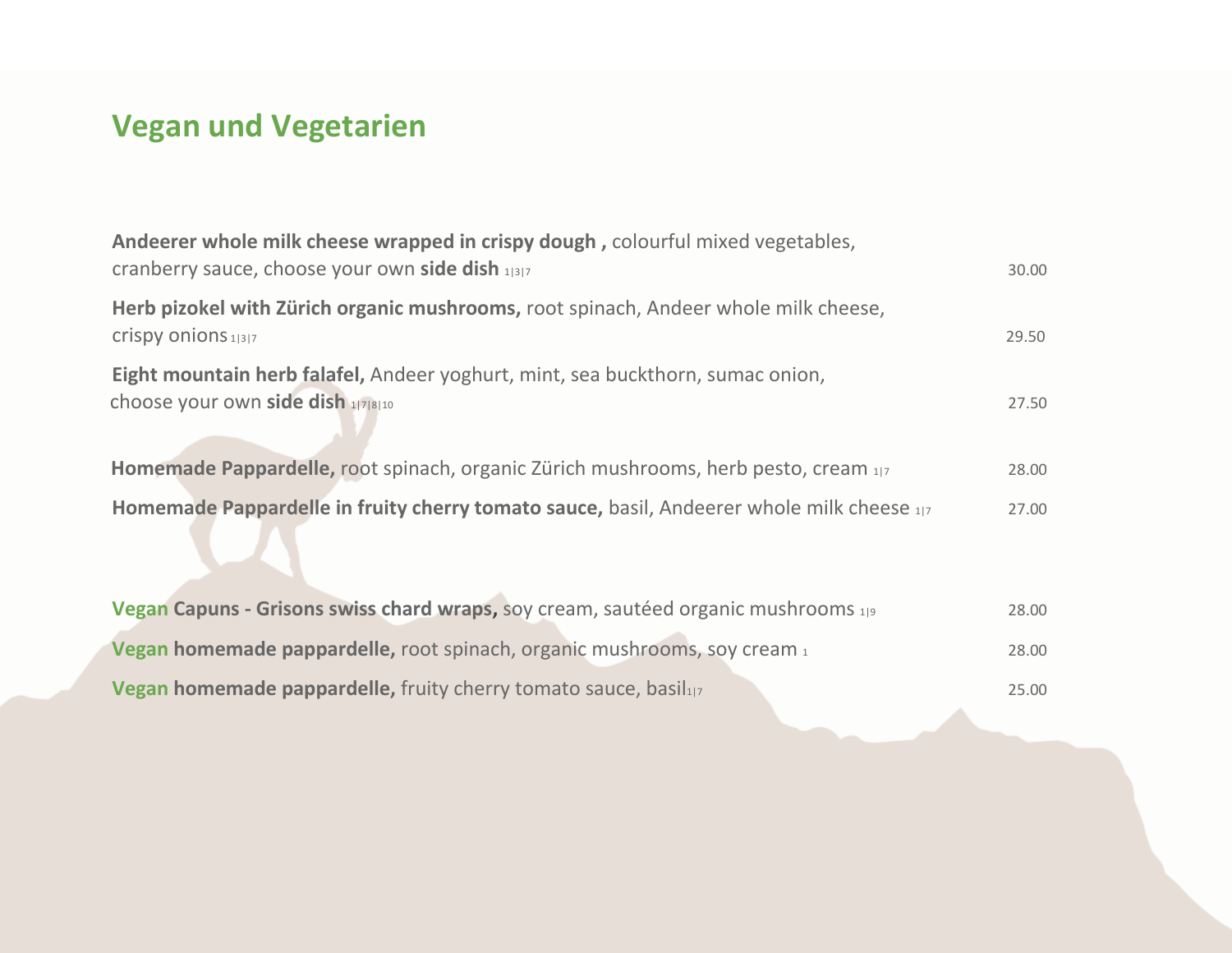# **Vegan und Vegetarien**

| Andeerer whole milk cheese wrapped in crispy dough, colourful mixed vegetables,<br>cranberry sauce, choose your own side dish 1317 | 30.00 |
|------------------------------------------------------------------------------------------------------------------------------------|-------|
| Herb pizokel with Zürich organic mushrooms, root spinach, Andeer whole milk cheese,<br>Crispy onions 1 3 7                         | 29.50 |
| Eight mountain herb falafel, Andeer yoghurt, mint, sea buckthorn, sumac onion,<br>choose your own side dish 178110                 | 27.50 |
| Homemade Pappardelle, root spinach, organic Zürich mushrooms, herb pesto, cream 1/7                                                | 28.00 |
| Homemade Pappardelle in fruity cherry tomato sauce, basil, Andeerer whole milk cheese 1/7                                          | 27.00 |
| Vegan Capuns - Grisons swiss chard wraps, soy cream, sautéed organic mushrooms 199                                                 | 28.00 |
| Vegan homemade pappardelle, root spinach, organic mushrooms, soy cream 1                                                           | 28.00 |
| Vegan homemade pappardelle, fruity cherry tomato sauce, basil117                                                                   | 25.00 |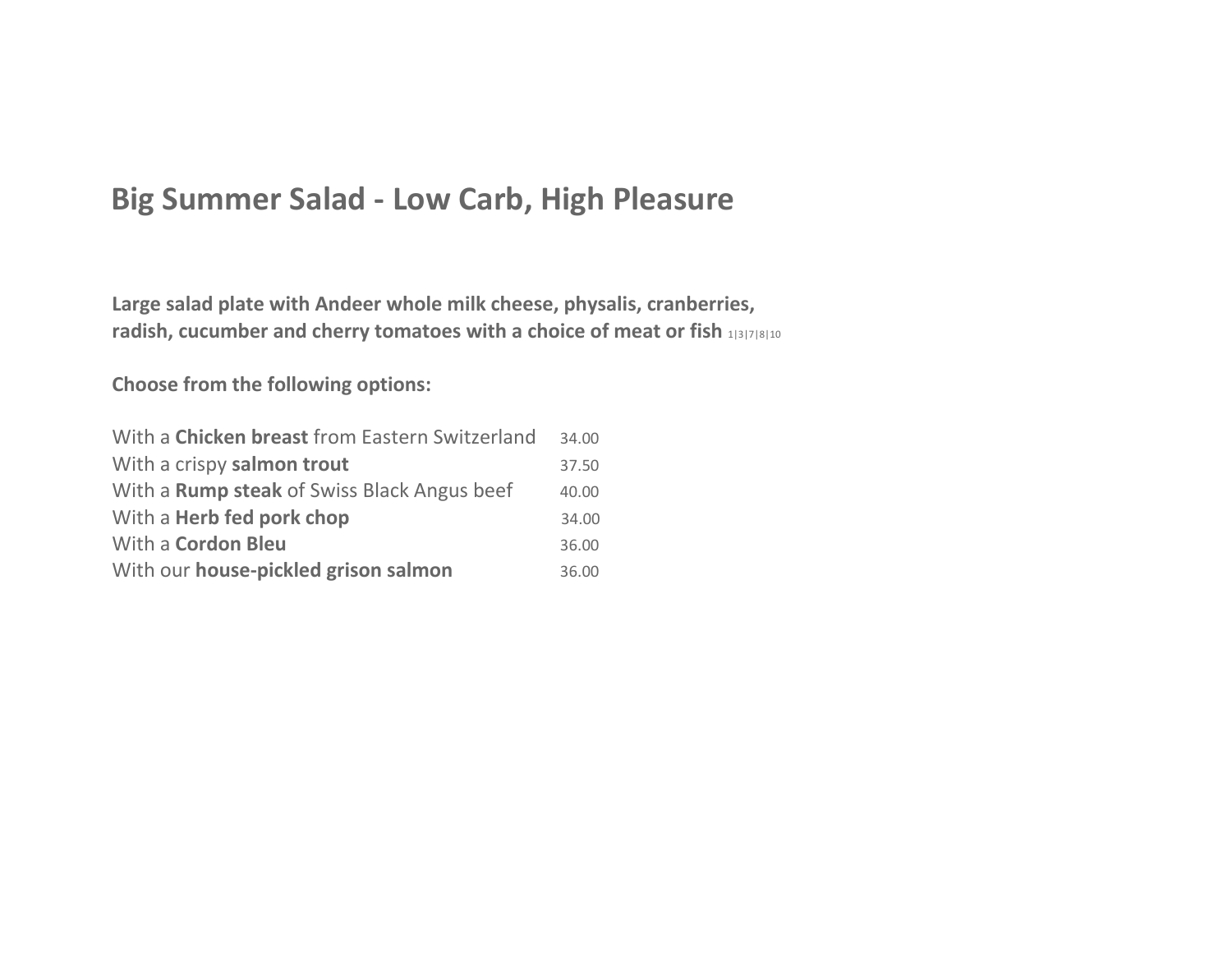#### **Big Summer Salad - Low Carb, High Pleasure**

**Large salad plate with Andeer whole milk cheese, physalis, cranberries, radish, cucumber and cherry tomatoes with a choice of meat or fish** 1|3|7|8|10

**Choose from the following options:**

| With a Chicken breast from Eastern Switzerland     | 34.00 |
|----------------------------------------------------|-------|
| With a crispy salmon trout                         | 37.50 |
| With a <b>Rump steak</b> of Swiss Black Angus beef | 40.00 |
| With a <b>Herb fed pork chop</b>                   | 34.00 |
| With a Cordon Bleu                                 | 36.00 |
| With our house-pickled grison salmon               | 36.00 |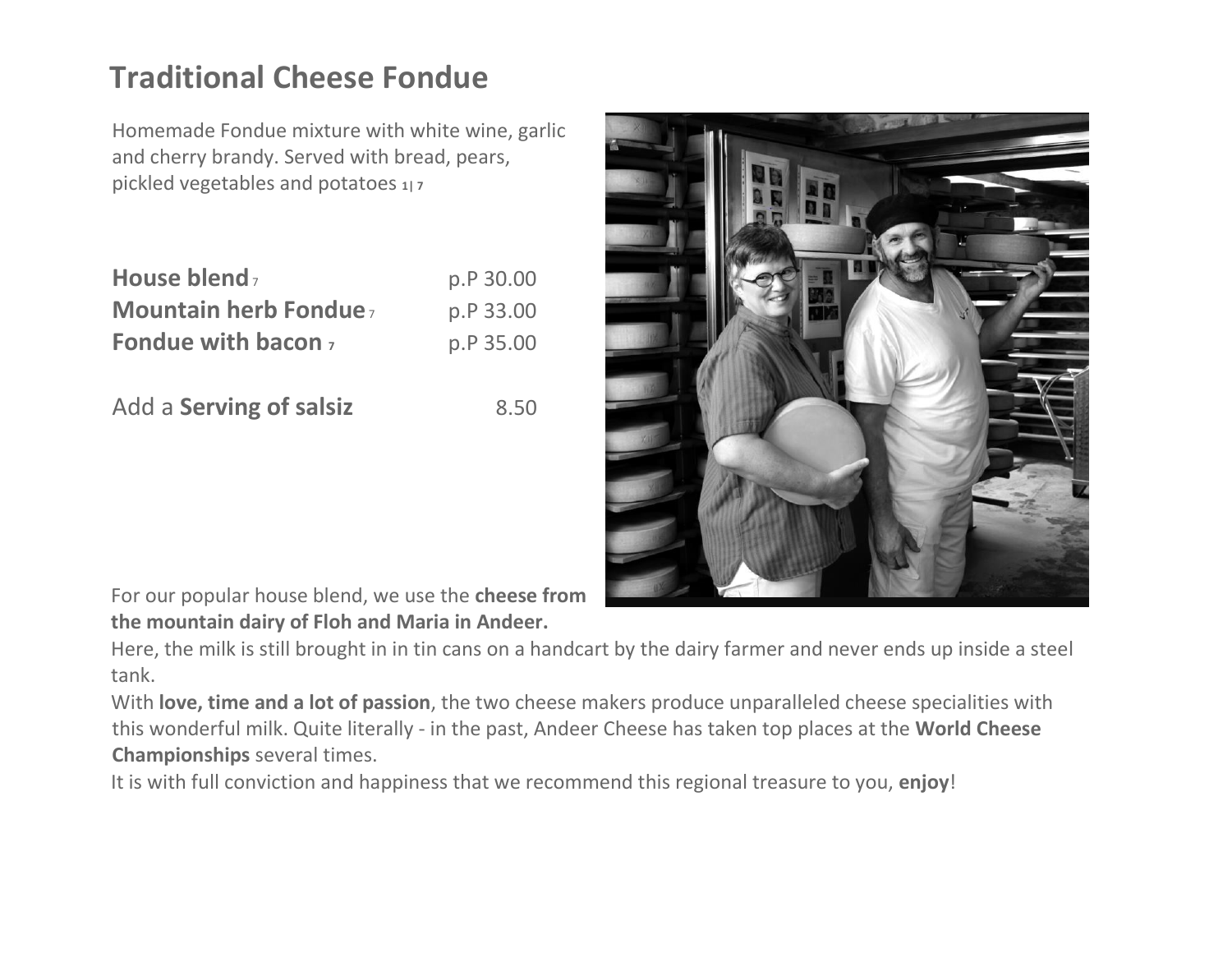## **Traditional Cheese Fondue**

Homemade Fondue mixture with white wine, garlic and cherry brandy. Served with bread, pears, pickled vegetables and potatoes **1| 7**

| House blend,                | p.P 30.00 |
|-----------------------------|-----------|
| <b>Mountain herb Fondue</b> | p.P 33.00 |
| Fondue with bacon $_7$      | p.P 35.00 |

Add a **Serving of salsiz** 8.50



For our popular house blend, we use the **cheese from the mountain dairy of Floh and Maria in Andeer.**

Here, the milk is still brought in in tin cans on a handcart by the dairy farmer and never ends up inside a steel tank.

With **love, time and a lot of passion**, the two cheese makers produce unparalleled cheese specialities with this wonderful milk. Quite literally - in the past, Andeer Cheese has taken top places at the **World Cheese Championships** several times.

It is with full conviction and happiness that we recommend this regional treasure to you, **enjoy**!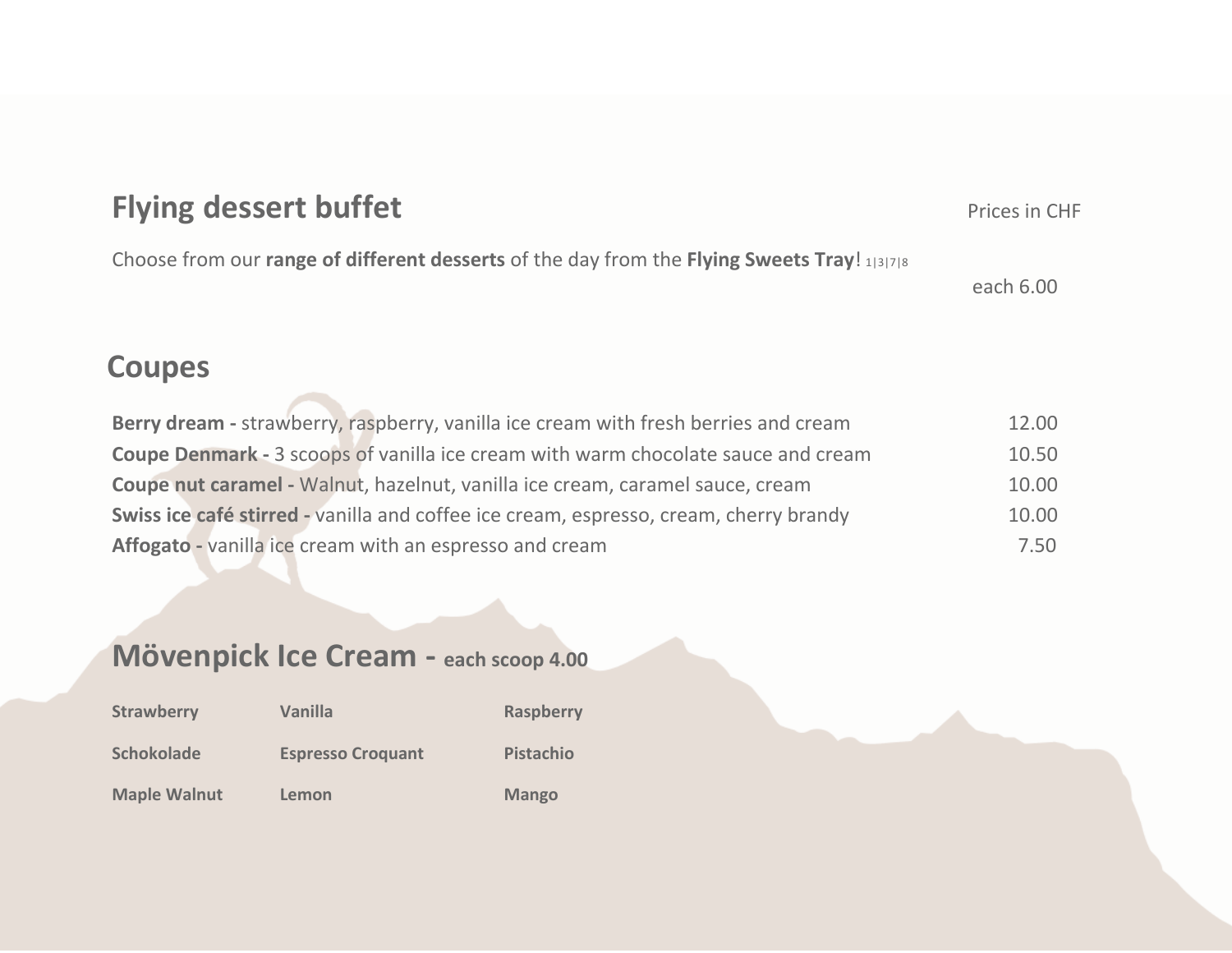| <b>Flying dessert buffet</b>                                                                | Prices in CHF |
|---------------------------------------------------------------------------------------------|---------------|
| Choose from our range of different desserts of the day from the Flying Sweets Tray! 1 3 7 8 | each 6.00     |
| <b>Coupes</b>                                                                               |               |
| Downedroom stroughorne rogphorne unpillo ico croom with froch horries and sroom             | 12.00         |

**Berry dream -** strawberry, raspberry, vanilla ice cream with fresh berries and cream 12.00 **Coupe Denmark -** 3 scoops of vanilla ice cream with warm chocolate sauce and cream 10.50 **Coupe nut caramel -** Walnut, hazelnut, vanilla ice cream, caramel sauce, cream 10.00 **Swiss ice café stirred -** vanilla and coffee ice cream, espresso, cream, cherry brandy 10.00 Affogato - vanilla ice cream with an espresso and cream **7.50** 

#### **Mövenpick Ice Cream - each scoop 4.00**

| <b>Strawberry</b>   | <b>Vanilla</b>           | <b>Raspberry</b> |
|---------------------|--------------------------|------------------|
| <b>Schokolade</b>   | <b>Espresso Croquant</b> | Pistachio        |
| <b>Maple Walnut</b> | Lemon                    | <b>Mango</b>     |